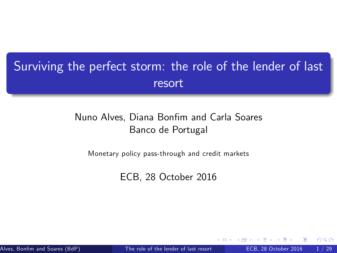### Surviving the perfect storm: the role of the lender of last resort

#### Nuno Alves, Diana Bonfim and Carla Soares Banco de Portugal

Monetary policy pass-through and credit markets

<span id="page-0-0"></span>ECB, 28 October 2016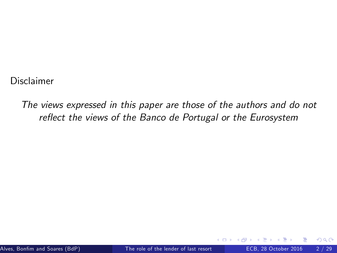Disclaimer

The views expressed in this paper are those of the authors and do not reflect the views of the Banco de Portugal or the Eurosystem

 $200$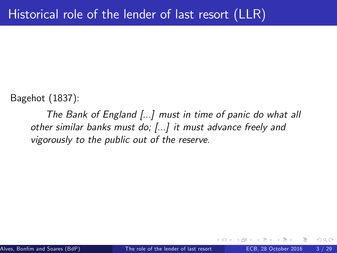Bagehot (1837):

The Bank of England [...] must in time of panic do what all other similar banks must do; [...] it must advance freely and vigorously to the public out of the reserve.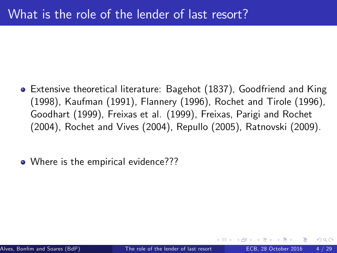- Extensive theoretical literature: Bagehot (1837), Goodfriend and King (1998), Kaufman (1991), Flannery (1996), Rochet and Tirole (1996), Goodhart (1999), Freixas et al. (1999), Freixas, Parigi and Rochet (2004), Rochet and Vives (2004), Repullo (2005), Ratnovski (2009).
- Where is the empirical evidence???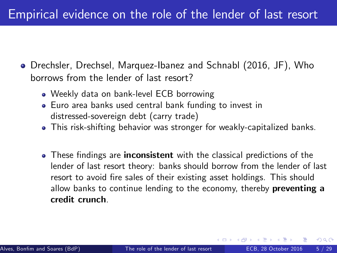#### Empirical evidence on the role of the lender of last resort

- Drechsler, Drechsel, Marquez-Ibanez and Schnabl (2016, JF), Who borrows from the lender of last resort?
	- Weekly data on bank-level ECB borrowing
	- Euro area banks used central bank funding to invest in distressed-sovereign debt (carry trade)
	- This risk-shifting behavior was stronger for weakly-capitalized banks.
	- These findings are **inconsistent** with the classical predictions of the lender of last resort theory: banks should borrow from the lender of last resort to avoid fire sales of their existing asset holdings. This should allow banks to continue lending to the economy, thereby **preventing a** credit crunch.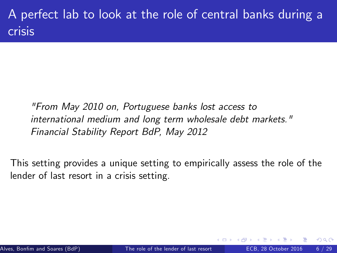### A perfect lab to look at the role of central banks during a crisis

"From May 2010 on, Portuguese banks lost access to international medium and long term wholesale debt markets." Financial Stability Report BdP, May 2012

This setting provides a unique setting to empirically assess the role of the lender of last resort in a crisis setting.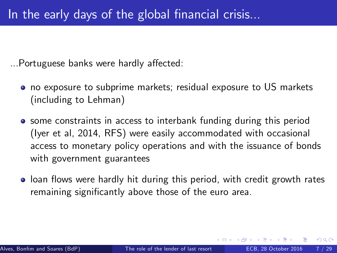...Portuguese banks were hardly affected:

- no exposure to subprime markets; residual exposure to US markets (including to Lehman)
- **•** some constraints in access to interbank funding during this period (Iyer et al, 2014, RFS) were easily accommodated with occasional access to monetary policy operations and with the issuance of bonds with government guarantees
- loan flows were hardly hit during this period, with credit growth rates remaining significantly above those of the euro area.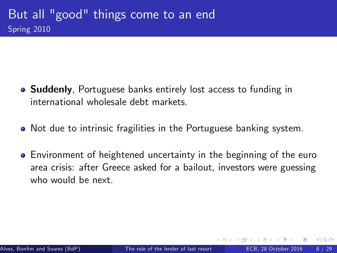- **Suddenly**, Portuguese banks entirely lost access to funding in international wholesale debt markets.
- Not due to intrinsic fragilities in the Portuguese banking system.
- Environment of heightened uncertainty in the beginning of the euro area crisis: after Greece asked for a bailout, investors were guessing who would be next.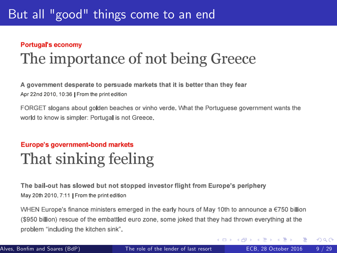#### **Portugal's economy**

# The importance of not being Greece

A government desperate to persuade markets that it is better than they fear Apr 22nd 2010, 10:36 I From the print edition

FORGET slogans about golden beaches or vinho verde. What the Portuguese government wants the world to know is simpler: Portugal is not Greece.

#### **Europe's government-bond markets**

## That sinking feeling

The bail-out has slowed but not stopped investor flight from Europe's periphery May 20th 2010, 7:11 | From the print edition

WHEN Europe's finance ministers emerged in the early hours of May 10th to announce a  $\epsilon$ 750 billion (\$950 billion) rescue of the embattled euro zone, some joked that they had thrown everything at the problem "including the kitchen sink".

イロメ イ母メ イヨメ イヨ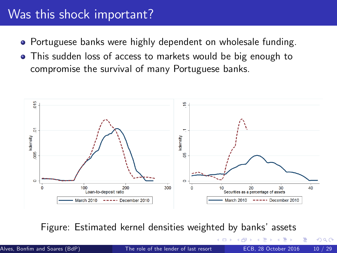#### Was this shock important?

- Portuguese banks were highly dependent on wholesale funding.
- This sudden loss of access to markets would be big enough to compromise the survival of many Portuguese banks.



Figure: Estimated kernel densities weighted by banks' assets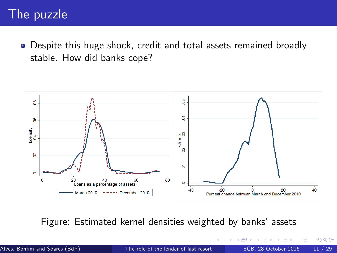#### The puzzle

Despite this huge shock, credit and total assets remained broadly stable. How did banks cope?



Figure: Estimated kernel densities weighted by banks' assets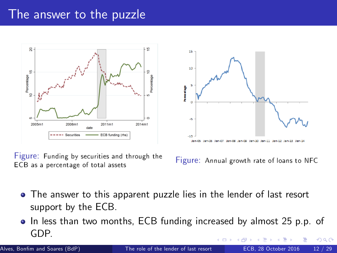#### The answer to the puzzle





Figure: Funding by securities and through the ECB as a percentage of total assets

Figure: Annual growth rate of loans to NFC

- The answer to this apparent puzzle lies in the lender of last resort support by the ECB.
- In less than two months, ECB funding increased by almost 25 p.p. of GDP.  $\Omega$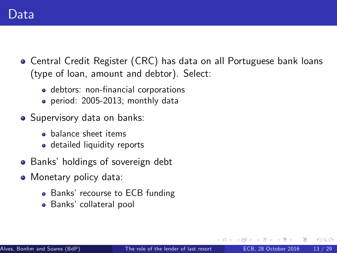- Central Credit Register (CRC) has data on all Portuguese bank loans (type of loan, amount and debtor). Select:
	- debtors: non-financial corporations
	- period: 2005-2013; monthly data
- Supervisory data on banks:
	- **•** balance sheet items
	- detailed liquidity reports
- Banks' holdings of sovereign debt
- Monetary policy data:
	- Banks' recourse to ECB funding
	- Banks' collateral pool

 $200$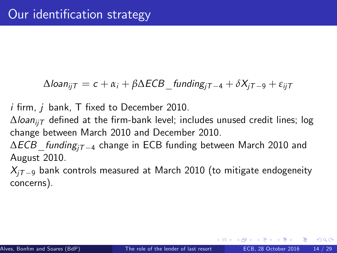$\Delta$ loan<sub>ii</sub><sub>T</sub> = c + α<sub>i</sub> + β $\Delta$ ECB funding<sub>iT -4</sub> + δ $X$ <sub>iT -9</sub> + ε<sub>ii</sub><sub>T</sub>

 $i$  firm,  $j$  bank,  $T$  fixed to December 2010.

 $\Delta$ loan<sub>ii</sub> defined at the firm-bank level; includes unused credit lines; log change between March 2010 and December 2010.

 $\Delta ECB$  funding<sub>iT -4</sub> change in ECB funding between March 2010 and August 2010.

 $X_{iT-9}$  bank controls measured at March 2010 (to mitigate endogeneity concerns).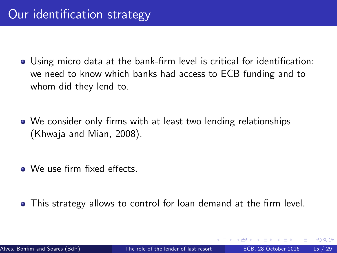- **.** Using micro data at the bank-firm level is critical for identification: we need to know which banks had access to ECB funding and to whom did they lend to.
- We consider only firms with at least two lending relationships (Khwaja and Mian, 2008).
- $\bullet$  We use firm fixed effects.
- <span id="page-14-0"></span>• This strategy allows to control for loan demand at the firm level.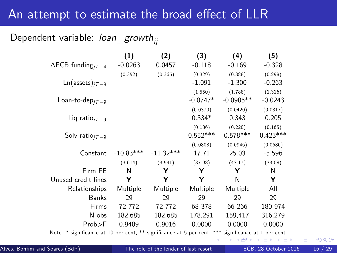#### An attempt to estimate the broad effect of LLR

Dependent variable:  $loan\_growth_{ii}$ 

|                                                                                                                                                             | (1)         | (2)         | (3)        | (4)         | (5)        |
|-------------------------------------------------------------------------------------------------------------------------------------------------------------|-------------|-------------|------------|-------------|------------|
| $\overline{\triangle ECB}$ funding <sub>jT-4</sub>                                                                                                          | $-0.0263$   | 0.0457      | $-0.118$   | $-0.169$    | $-0.328$   |
|                                                                                                                                                             | (0.352)     | (0.366)     | (0.329)    | (0.388)     | (0.298)    |
| $Ln($ assets $)_{iT=9}$                                                                                                                                     |             |             | $-1.091$   | $-1.300$    | $-0.263$   |
|                                                                                                                                                             |             |             | (1.550)    | (1.788)     | (1.316)    |
| Loan-to-dep <sub>iT-9</sub>                                                                                                                                 |             |             | $-0.0747*$ | $-0.0905**$ | $-0.0243$  |
|                                                                                                                                                             |             |             | (0.0370)   | (0.0420)    | (0.0317)   |
| Liq ratio $_{iT=9}$                                                                                                                                         |             |             | $0.334*$   | 0.343       | 0.205      |
|                                                                                                                                                             |             |             | (0.186)    | (0.220)     | (0.165)    |
| Solv ratio $_{jT-9}$                                                                                                                                        |             |             | $0.552***$ | $0.578***$  | $0.423***$ |
|                                                                                                                                                             |             |             | (0.0808)   | (0.0946)    | (0.0680)   |
| Constant                                                                                                                                                    | $-10.83***$ | $-11.32***$ | 17.71      | 25.03       | $-5.596$   |
|                                                                                                                                                             | (3.614)     | (3.541)     | (37.98)    | (43.17)     | (33.08)    |
| Firm FE                                                                                                                                                     | N           | Y           | Y          | Y           | N          |
| Unused credit lines                                                                                                                                         | Υ           | Y           | Y          | N           | Y          |
| Relationships                                                                                                                                               | Multiple    | Multiple    | Multiple   | Multiple    | All        |
| <b>Banks</b>                                                                                                                                                | 29          | 29          | 29         | 29          | 29         |
| Firms                                                                                                                                                       | 72 772      | 72 772      | 68 378     | 66 266      | 180 974    |
| N obs                                                                                                                                                       | 182,685     | 182,685     | 178,291    | 159,417     | 316,279    |
| $Prob$ >F                                                                                                                                                   | 0.9409      | 0.9016      | 0.0000     | 0.0000      | 0.0000     |
| Note: $* = \frac{1}{2}$ plantificance at 10 nor cent: $** = \frac{1}{2}$ plantificance at $5$ nor cent: $*** = \frac{1}{2}$ particles and $* = \frac{1}{2}$ |             |             |            |             |            |

Note: \* significance at 10 per cent; \*\* significance at 5 per cent; [\\*\\*\\*](#page-14-0) si[gni](#page-16-0)fic[anc](#page-15-0)[e](#page-16-0) [at 1](#page-0-0) [per](#page-28-0) [cent](#page-0-0)[.](#page-28-0)

イロト イ母 トイヨ トイヨト

э

<span id="page-15-0"></span> $QQQ$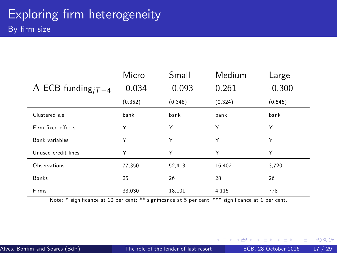|                                             | Micro    | Small    | Medium  | Large    |
|---------------------------------------------|----------|----------|---------|----------|
| $\Delta$ ECB funding <sub><i>iT</i>-4</sub> | $-0.034$ | $-0.093$ | 0.261   | $-0.300$ |
|                                             | (0.352)  | (0.348)  | (0.324) | (0.546)  |
| Clustered s.e.                              | bank     | bank     | bank    | bank     |
| Firm fixed effects                          | Υ        | Υ        | Υ       | Υ        |
| Bank variables                              | Υ        | Υ        | Υ       | Υ        |
| Unused credit lines                         | Υ        | Υ        | Υ       | Υ        |
| Observations                                | 77,350   | 52,413   | 16,402  | 3,720    |
| Banks                                       | 25       | 26       | 28      | 26       |
| Firms                                       | 33,030   | 18,101   | 4,115   | 778      |

Note: \* significance at 10 per cent; \*\* significance at 5 per cent; \*\*\* significance at 1 per cent.

<span id="page-16-0"></span> $\rightarrow$ 

**K ロ ト イ ト**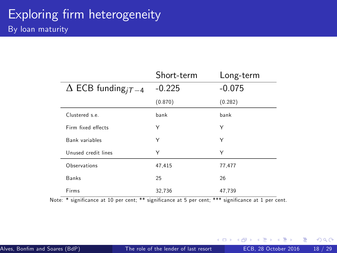|                                             | Short-term | Long-term |
|---------------------------------------------|------------|-----------|
| $\Delta$ ECB funding <sub><i>iT</i>-4</sub> | $-0.225$   | $-0.075$  |
|                                             | (0.870)    | (0.282)   |
| Clustered s.e.                              | bank       | bank      |
| Firm fixed effects                          | Υ          | Υ         |
| Bank variables                              | Υ          | Υ         |
| Unused credit lines                         | Υ          | Υ         |
| Observations                                | 47,415     | 77,477    |
| <b>Banks</b>                                | 25         | 26        |
| Firms                                       | 32.736     | 47.739    |

Note: \* significance at 10 per cent; \*\* significance at 5 per cent; \*\*\* significance at 1 per cent.

 $\sim$ 

→ 何 ▶

4 0 8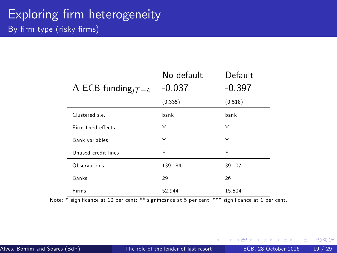|                                             | No default | Default  |
|---------------------------------------------|------------|----------|
| $\Delta$ ECB funding <sub><i>iT</i>-4</sub> | $-0.037$   | $-0.397$ |
|                                             | (0.335)    | (0.518)  |
| Clustered s.e.                              | bank       | bank     |
| Firm fixed effects                          | Υ          | Υ        |
| <b>Bank variables</b>                       | Υ          | Υ        |
| Unused credit lines                         | Υ          | Υ        |
| Observations                                | 139,184    | 39,107   |
| Banks                                       | 29         | 26       |
| Firms                                       | 52.944     | 15.504   |

Note: \* significance at 10 per cent; \*\* significance at 5 per cent; \*\*\* significance at 1 per cent.

4 0 8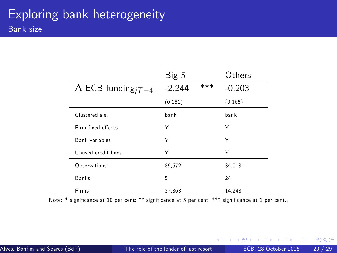|                                         | Big 5    |     | Others   |
|-----------------------------------------|----------|-----|----------|
| $\Delta$ ECB funding <sub>i</sub> $T-4$ | $-2.244$ | *** | $-0.203$ |
|                                         | (0.151)  |     | (0.165)  |
| Clustered s.e.                          | bank     |     | bank     |
| Firm fixed effects                      | Υ        |     | Υ        |
| Bank variables                          | Υ        |     | Υ        |
| Unused credit lines                     | Υ        |     | Υ        |
| Observations                            | 89,672   |     | 34,018   |
| <b>Banks</b>                            | 5        |     | 24       |
| Firms                                   | 37.863   |     | 14.248   |

Note: \* significance at 10 per cent; \*\* significance at 5 per cent; \*\*\* significance at 1 per cent..

 $\sim$ 

 $\rightarrow$ 

4 0 8

画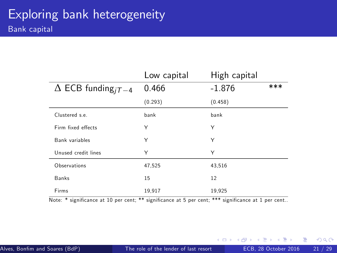|                                             | Low capital | High capital |     |
|---------------------------------------------|-------------|--------------|-----|
| $\Delta$ ECB funding <sub><i>iT</i>-4</sub> | 0.466       | $-1.876$     | *** |
|                                             | (0.293)     | (0.458)      |     |
| Clustered s.e.                              | bank        | bank         |     |
| Firm fixed effects                          | Υ           | Υ            |     |
| Bank variables                              | Υ           | Υ            |     |
| Unused credit lines                         | Υ           | Υ            |     |
| Observations                                | 47,525      | 43,516       |     |
| Banks                                       | 15          | 12           |     |
| Firms                                       | 19,917      | 19,925       |     |

Note: \* significance at 10 per cent; \*\* significance at 5 per cent; \*\*\* significance at 1 per cent..

 $\sim$  $-4$ 

4 0 8 → 母  $\rightarrow$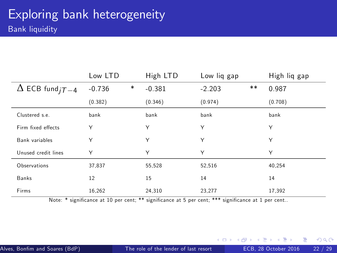|                          | Low LTD  |   | High LTD | Low lig gap |       | High liq gap |
|--------------------------|----------|---|----------|-------------|-------|--------------|
| $\Delta$ ECB fund $iT-4$ | $-0.736$ | * | $-0.381$ | $-2.203$    | $***$ | 0.987        |
|                          | (0.382)  |   | (0.346)  | (0.974)     |       | (0.708)      |
| Clustered s.e.           | bank     |   | bank     | bank        |       | bank         |
| Firm fixed effects       | Υ        |   | Υ        | Y           |       | Υ            |
| Bank variables           | Υ        |   | Υ        | Υ           |       | Υ            |
| Unused credit lines      | Υ        |   | Υ        | Υ           |       | Υ            |
| Observations             | 37,837   |   | 55,528   | 52,516      |       | 40.254       |
| Banks                    | 12       |   | 15       | 14          |       | 14           |
| Firms                    | 16,262   |   | 24,310   | 23,277      |       | 17,392       |

Note: \* significance at 10 per cent; \*\* significance at 5 per cent; \*\*\* significance at 1 per cent..

 $\sim$ 

**← ロ → → ← 何 →** 

画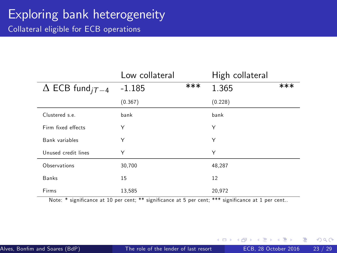# Exploring bank heterogeneity

Collateral eligible for ECB operations

|                                          | Low collateral |     | High collateral |     |
|------------------------------------------|----------------|-----|-----------------|-----|
| $\Delta$ ECB fund <sub><i>iT</i>-4</sub> | $-1.185$       | *** | 1.365           | *** |
|                                          | (0.367)        |     | (0.228)         |     |
| Clustered s.e.                           | bank           |     | bank            |     |
| Firm fixed effects                       | Υ              |     | Υ               |     |
| Bank variables                           | Υ              |     | Υ               |     |
| Unused credit lines                      | Υ              |     | Υ               |     |
| Observations                             | 30,700         |     | 48,287          |     |
| Banks                                    | 15             |     | 12              |     |
| Firms                                    | 13,585         |     | 20,972          |     |

Note: \* significance at 10 per cent; \*\* significance at 5 per cent; \*\*\* significance at 1 per cent..

 $\leftarrow$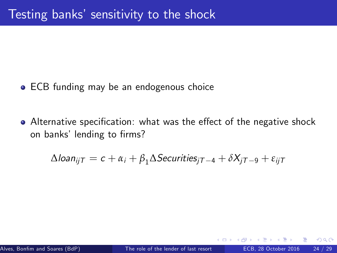- **ECB funding may be an endogenous choice**
- Alternative specification: what was the effect of the negative shock on banks' lending to firms?

$$
\Delta \text{loan}_{ijT} = c + \alpha_i + \beta_1 \Delta \text{Securities}_{jT-4} + \delta X_{jT-9} + \varepsilon_{ijT}
$$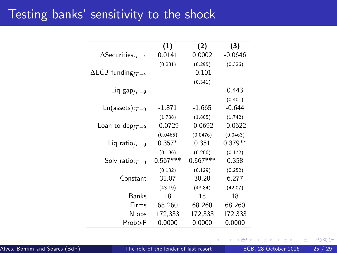#### Testing banks' sensitivity to the shock

|                                                        | (1)        | (2)        | (3)       |
|--------------------------------------------------------|------------|------------|-----------|
| $\overline{\Delta \text{Security}}$                    | 0.0141     | 0.0002     | $-0.0646$ |
|                                                        | (0.281)    | (0.295)    | (0.326)   |
| $\Delta$ ECB funding <sub>i</sub> $\tau$ <sub>-4</sub> |            | $-0.101$   |           |
|                                                        |            | (0.341)    |           |
| Liq gap $_{jT-9}$                                      |            |            | 0.443     |
|                                                        |            |            | (0.401)   |
| $Ln($ assets $)_{iT=9}$                                | $-1.871$   | $-1.665$   | $-0.644$  |
|                                                        | (1.738)    | (1.805)    | (1.742)   |
| $\mathsf{Loan}\text{-to-dep}_{iT-9}$                   | $-0.0729$  | $-0.0692$  | $-0.0622$ |
|                                                        | (0.0465)   | (0.0476)   | (0.0463)  |
| Liq ratio $_{iT=9}$                                    | $0.357*$   | 0.351      | $0.379**$ |
|                                                        | (0.196)    | (0.206)    | (0.172)   |
| Solv ratio $_{iT-9}$                                   | $0.567***$ | $0.567***$ | 0.358     |
|                                                        | (0.132)    | (0.129)    | (0.252)   |
| Constant                                               | 35.07      | 30.20      | 6.277     |
|                                                        | (43.19)    | (43.84)    | (42.07)   |
| Banks                                                  | 18         | 18         | 18        |
| Firms                                                  | 68 260     | 68 260     | 68 260    |
| N obs                                                  | 172,333    | 172,333    | 172,333   |
| $Prob$ >F                                              | 0.0000     | 0.0000     | 0.0000    |

4 0 8

 $299$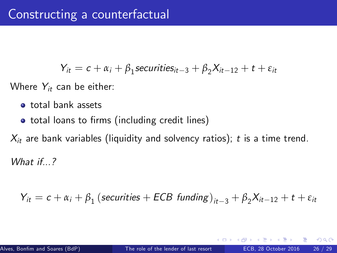$$
Y_{it} = c + \alpha_i + \beta_1 \text{securities}_{it-3} + \beta_2 X_{it-12} + t + \varepsilon_{it}
$$

Where  $Y_{it}$  can be either:

- total bank assets
- total loans to firms (including credit lines)

 $X_{it}$  are bank variables (liquidity and solvency ratios); t is a time trend.

What if...?

$$
Y_{it} = c + \alpha_i + \beta_1 (securities + ECB funding)_{it-3} + \beta_2 X_{it-12} + t + \varepsilon_{it}
$$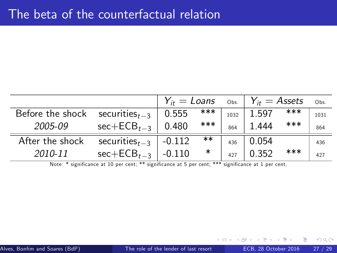|                  |                                                                                                     |          |        |      | $Y_{it} =$ Loans $\circ$ bs.   $Y_{it} =$ Assets |     | Obs. |
|------------------|-----------------------------------------------------------------------------------------------------|----------|--------|------|--------------------------------------------------|-----|------|
| Before the shock | securities $t_{t-3}$                                                                                | 0.555    | ***    | 1032 | 1.597                                            | *** | 1031 |
| 2005-09          | $sec + ECB_{t-3}$                                                                                   | 0.480    | ***    | 864  | 1.444                                            | *** | 864  |
| After the shock  | securities $_{t=3}$                                                                                 | $-0.112$ | $***$  | 436  | 0.054                                            |     | 436  |
| 2010-11          | $sec + ECB_{t-3}$                                                                                   | $-0.110$ | $\ast$ | 427  | 0.352                                            | *** | 427  |
|                  | Note: * significance at 10 per cent; ** significance at 5 per cent; *** significance at 1 per cent. |          |        |      |                                                  |     |      |

 $\leftarrow$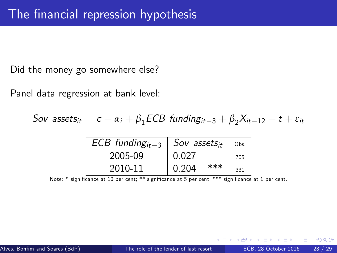Did the money go somewhere else?

Panel data regression at bank level:

Sov assets<sub>it</sub> =  $c + \alpha_i + \beta_1$ ECB funding<sub>it-3</sub> +  $\beta_2 X_{it-12} + t + \varepsilon_{it}$ 

| $ECB$ funding <sub>it-3</sub> | Sov assets $_{it}$ | Obs. |
|-------------------------------|--------------------|------|
| 2005-09                       | 0.027              | 705  |
| 2010-11                       | ***<br>0.204       | 331  |

Note: \* significance at 10 per cent; \*\* significance at 5 per cent; \*\*\* significance at 1 per cent.

 $200$